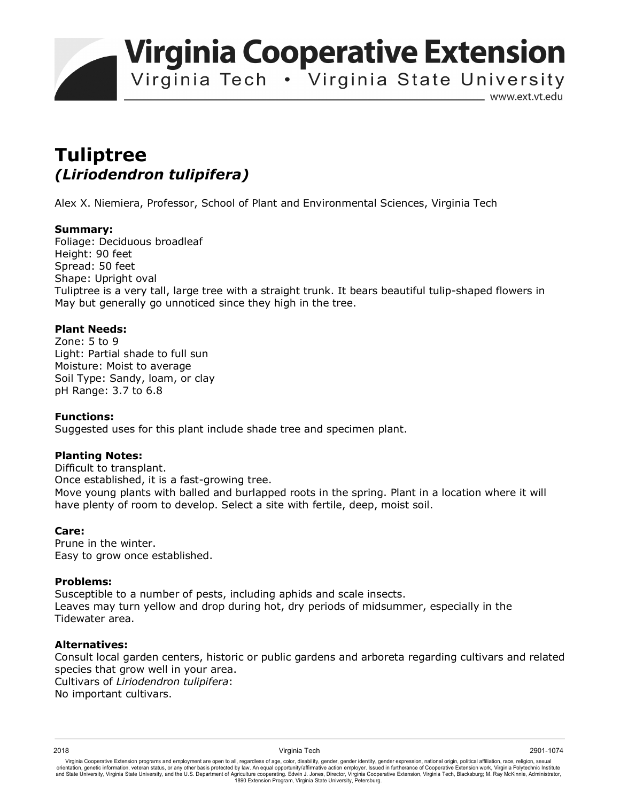**Virginia Cooperative Extension** 

Virginia Tech • Virginia State University

www.ext.vt.edu

# **Tuliptree**  *(Liriodendron tulipifera)*

Alex X. Niemiera, Professor, School of Plant and Environmental Sciences, Virginia Tech

## **Summary:**

Foliage: Deciduous broadleaf Height: 90 feet Spread: 50 feet Shape: Upright oval Tuliptree is a very tall, large tree with a straight trunk. It bears beautiful tulip-shaped flowers in May but generally go unnoticed since they high in the tree.

## **Plant Needs:**

Zone: 5 to 9 Light: Partial shade to full sun Moisture: Moist to average Soil Type: Sandy, loam, or clay pH Range: 3.7 to 6.8

#### **Functions:**

Suggested uses for this plant include shade tree and specimen plant.

## **Planting Notes:**

Difficult to transplant. Once established, it is a fast-growing tree. Move young plants with balled and burlapped roots in the spring. Plant in a location where it will have plenty of room to develop. Select a site with fertile, deep, moist soil.

## **Care:**

Prune in the winter. Easy to grow once established.

#### **Problems:**

Susceptible to a number of pests, including aphids and scale insects. Leaves may turn yellow and drop during hot, dry periods of midsummer, especially in the Tidewater area.

#### **Alternatives:**

Consult local garden centers, historic or public gardens and arboreta regarding cultivars and related species that grow well in your area. Cultivars of *Liriodendron tulipifera*:

No important cultivars.